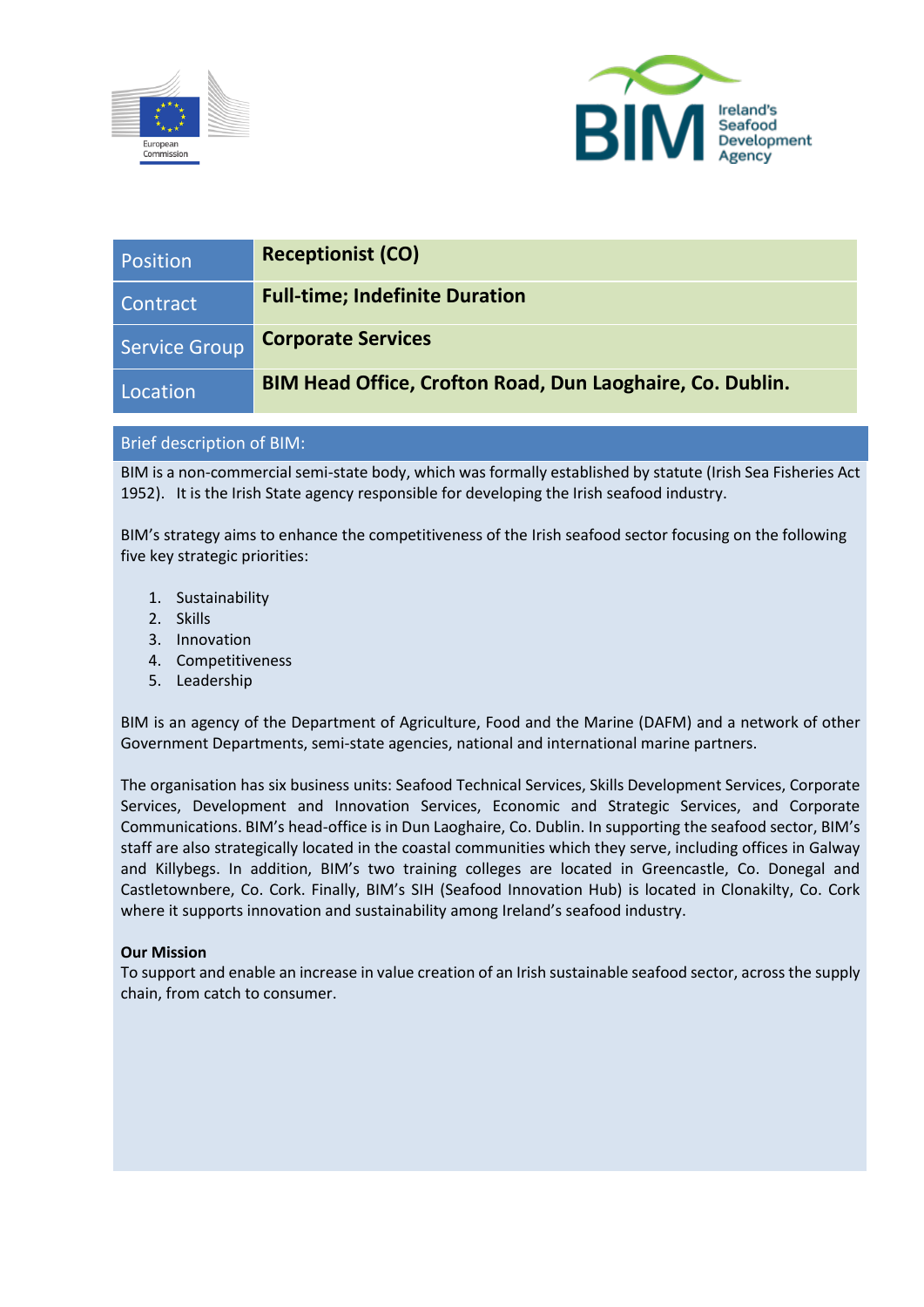



| Position             | <b>Receptionist (CO)</b>                                  |
|----------------------|-----------------------------------------------------------|
| Contract             | <b>Full-time; Indefinite Duration</b>                     |
| <b>Service Group</b> | <b>Corporate Services</b>                                 |
| Location             | BIM Head Office, Crofton Road, Dun Laoghaire, Co. Dublin. |

# Brief description of BIM:

BIM is a non-commercial semi-state body, which was formally established by statute (Irish Sea Fisheries Act 1952). It is the Irish State agency responsible for developing the Irish seafood industry.

BIM's strategy aims to enhance the competitiveness of the Irish seafood sector focusing on the following five key strategic priorities:

- 1. Sustainability
- 2. Skills
- 3. Innovation
- 4. Competitiveness
- 5. Leadership

BIM is an agency of the Department of Agriculture, Food and the Marine (DAFM) and a network of other Government Departments, semi-state agencies, national and international marine partners.

The organisation has six business units: Seafood Technical Services, Skills Development Services, Corporate Services, Development and Innovation Services, Economic and Strategic Services, and Corporate Communications. BIM's head-office is in Dun Laoghaire, Co. Dublin. In supporting the seafood sector, BIM's staff are also strategically located in the coastal communities which they serve, including offices in Galway and Killybegs. In addition, BIM's two training colleges are located in Greencastle, Co. Donegal and Castletownbere, Co. Cork. Finally, BIM's SIH (Seafood Innovation Hub) is located in Clonakilty, Co. Cork where it supports innovation and sustainability among Ireland's seafood industry.

# **Our Mission**

To support and enable an increase in value creation of an Irish sustainable seafood sector, across the supply chain, from catch to consumer.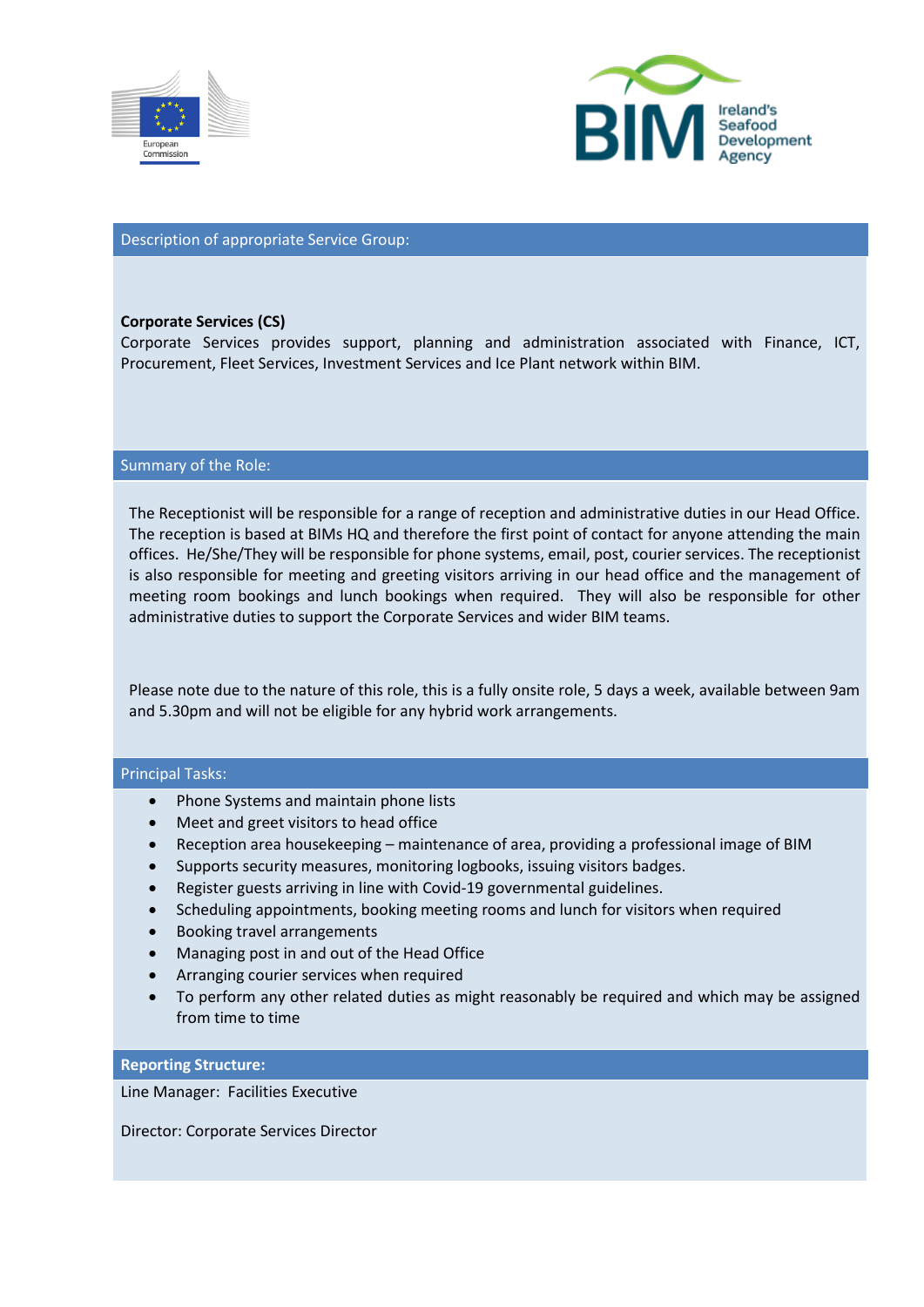



## Description of appropriate Service Group:

#### **Corporate Services (CS)**

Corporate Services provides support, planning and administration associated with Finance, ICT, Procurement, Fleet Services, Investment Services and Ice Plant network within BIM.

#### Summary of the Role:

The Receptionist will be responsible for a range of reception and administrative duties in our Head Office. The reception is based at BIMs HQ and therefore the first point of contact for anyone attending the main offices. He/She/They will be responsible for phone systems, email, post, courier services. The receptionist is also responsible for meeting and greeting visitors arriving in our head office and the management of meeting room bookings and lunch bookings when required. They will also be responsible for other administrative duties to support the Corporate Services and wider BIM teams.

# Please note due to the nature of this role, this is a fully onsite role, 5 days a week, available between 9am and 5.30pm and will not be eligible for any hybrid work arrangements.

## Principal Tasks:

- Phone Systems and maintain phone lists
- Meet and greet visitors to head office
- Reception area housekeeping maintenance of area, providing a professional image of BIM
- Supports security measures, monitoring logbooks, issuing visitors badges.
- Register guests arriving in line with Covid-19 governmental guidelines.
- Scheduling appointments, booking meeting rooms and lunch for visitors when required
- Booking travel arrangements
- Managing post in and out of the Head Office
- Arranging courier services when required
- To perform any other related duties as might reasonably be required and which may be assigned from time to time

#### **Reporting Structure:**

Line Manager: Facilities Executive

Director: Corporate Services Director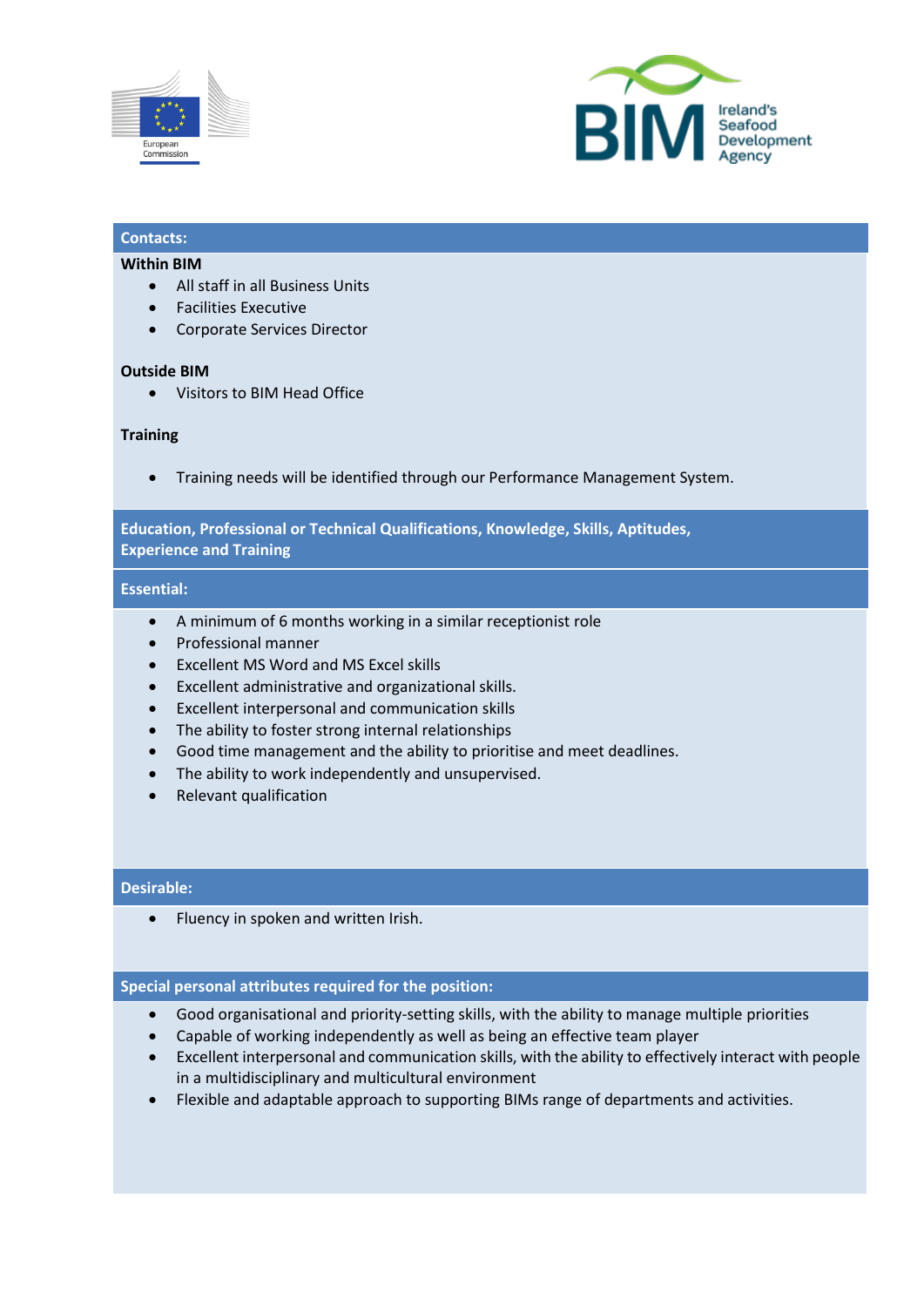



# **Contacts:**

## **Within BIM**

- All staff in all Business Units
- Facilities Executive
- Corporate Services Director

#### **Outside BIM**

• Visitors to BIM Head Office

## **Training**

• Training needs will be identified through our Performance Management System.

# **Education, Professional or Technical Qualifications, Knowledge, Skills, Aptitudes, Experience and Training**

#### **Essential:**

- A minimum of 6 months working in a similar receptionist role
- Professional manner
- Excellent MS Word and MS Excel skills
- Excellent administrative and organizational skills.
- Excellent interpersonal and communication skills
- The ability to foster strong internal relationships
- Good time management and the ability to prioritise and meet deadlines.
- The ability to work independently and unsupervised.
- Relevant qualification

## **Desirable:**

• Fluency in spoken and written Irish.

## **Special personal attributes required for the position:**

- Good organisational and priority-setting skills, with the ability to manage multiple priorities
- Capable of working independently as well as being an effective team player
- Excellent interpersonal and communication skills, with the ability to effectively interact with people in a multidisciplinary and multicultural environment
- Flexible and adaptable approach to supporting BIMs range of departments and activities.